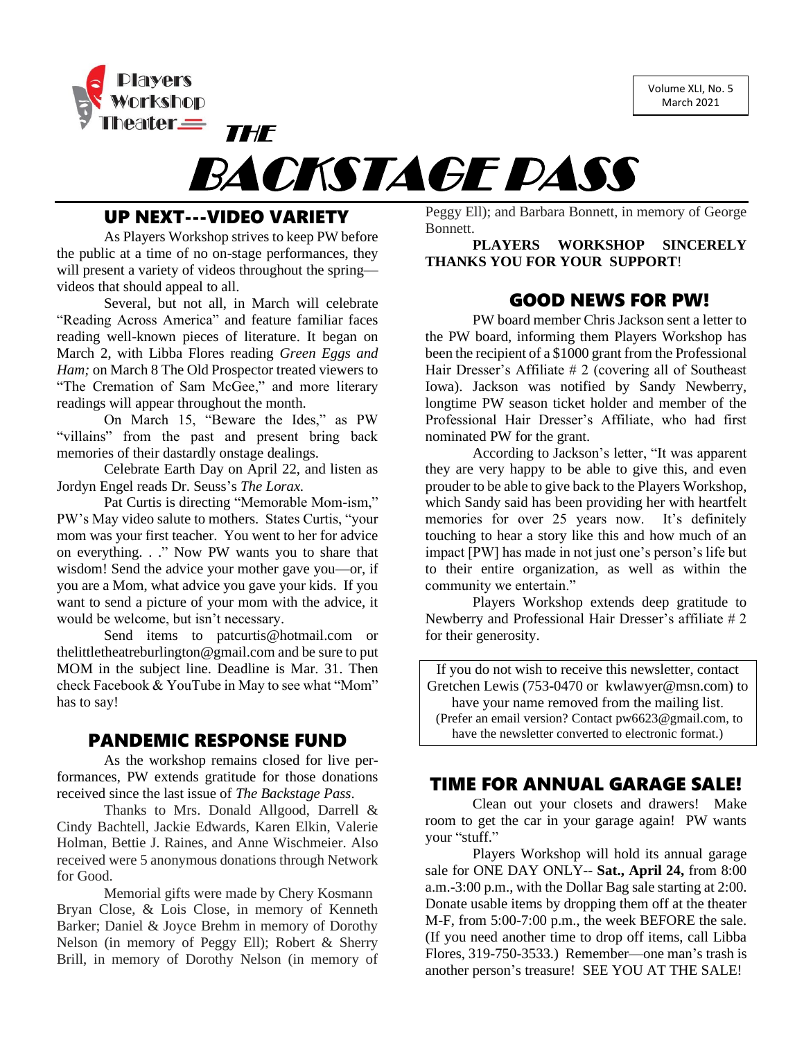Volume XLI, No. 5 March 2021



# BACKSTAGE PASS

# UP NEXT---VIDEO VARIETY

As Players Workshop strives to keep PW before the public at a time of no on-stage performances, they will present a variety of videos throughout the spring videos that should appeal to all.

Several, but not all, in March will celebrate "Reading Across America" and feature familiar faces reading well-known pieces of literature. It began on March 2, with Libba Flores reading *Green Eggs and Ham;* on March 8 The Old Prospector treated viewers to "The Cremation of Sam McGee," and more literary readings will appear throughout the month.

On March 15, "Beware the Ides," as PW "villains" from the past and present bring back memories of their dastardly onstage dealings.

Celebrate Earth Day on April 22, and listen as Jordyn Engel reads Dr. Seuss's *The Lorax.*

Pat Curtis is directing "Memorable Mom-ism," PW's May video salute to mothers. States Curtis, "your mom was your first teacher. You went to her for advice on everything. . ." Now PW wants you to share that wisdom! Send the advice your mother gave you—or, if you are a Mom, what advice you gave your kids. If you want to send a picture of your mom with the advice, it would be welcome, but isn't necessary.

Send items to [patcurtis@hotmail.com](mailto:patcurtis@hotmail.com) or [thelittletheatreburlington@gmail.com](mailto:thelittletheatreburlington@gmail.com) and be sure to put MOM in the subject line. Deadline is Mar. 31. Then check Facebook & YouTube in May to see what "Mom" has to say!

#### PANDEMIC RESPONSE FUND

As the workshop remains closed for live performances, PW extends gratitude for those donations received since the last issue of *The Backstage Pass*.

Thanks to Mrs. Donald Allgood, Darrell & Cindy Bachtell, Jackie Edwards, Karen Elkin, Valerie Holman, Bettie J. Raines, and Anne Wischmeier. Also received were 5 anonymous donations through Network for Good.

Memorial gifts were made by Chery Kosmann Bryan Close, & Lois Close, in memory of Kenneth Barker; Daniel & Joyce Brehm in memory of Dorothy Nelson (in memory of Peggy Ell); Robert & Sherry Brill, in memory of Dorothy Nelson (in memory of

Peggy Ell); and Barbara Bonnett, in memory of George Bonnett.

**PLAYERS WORKSHOP SINCERELY THANKS YOU FOR YOUR SUPPORT**!

## GOOD NEWS FOR PW!

PW board member Chris Jackson sent a letter to the PW board, informing them Players Workshop has been the recipient of a \$1000 grant from the Professional Hair Dresser's Affiliate # 2 (covering all of Southeast Iowa). Jackson was notified by Sandy Newberry, longtime PW season ticket holder and member of the Professional Hair Dresser's Affiliate, who had first nominated PW for the grant.

According to Jackson's letter, "It was apparent they are very happy to be able to give this, and even prouder to be able to give back to the Players Workshop, which Sandy said has been providing her with heartfelt memories for over 25 years now. It's definitely touching to hear a story like this and how much of an impact [PW] has made in not just one's person's life but to their entire organization, as well as within the community we entertain."

Players Workshop extends deep gratitude to Newberry and Professional Hair Dresser's affiliate # 2 for their generosity.

If you do not wish to receive this newsletter, contact Gretchen Lewis (753-0470 or [kwlawyer@msn.com\)](mailto:kwlawyer@msn.com) to have your name removed from the mailing list.

(Prefer an email version? Contact [pw6623@gmail.com,](mailto:pw6623@gmail.com) to have the newsletter converted to electronic format.)

## TIME FOR ANNUAL GARAGE SALE!

Clean out your closets and drawers! Make room to get the car in your garage again! PW wants your "stuff."

Players Workshop will hold its annual garage sale for ONE DAY ONLY-- **Sat., April 24,** from 8:00 a.m.-3:00 p.m., with the Dollar Bag sale starting at 2:00. Donate usable items by dropping them off at the theater M-F, from 5:00-7:00 p.m., the week BEFORE the sale. (If you need another time to drop off items, call Libba Flores, 319-750-3533.) Remember—one man's trash is another person's treasure! SEE YOU AT THE SALE!